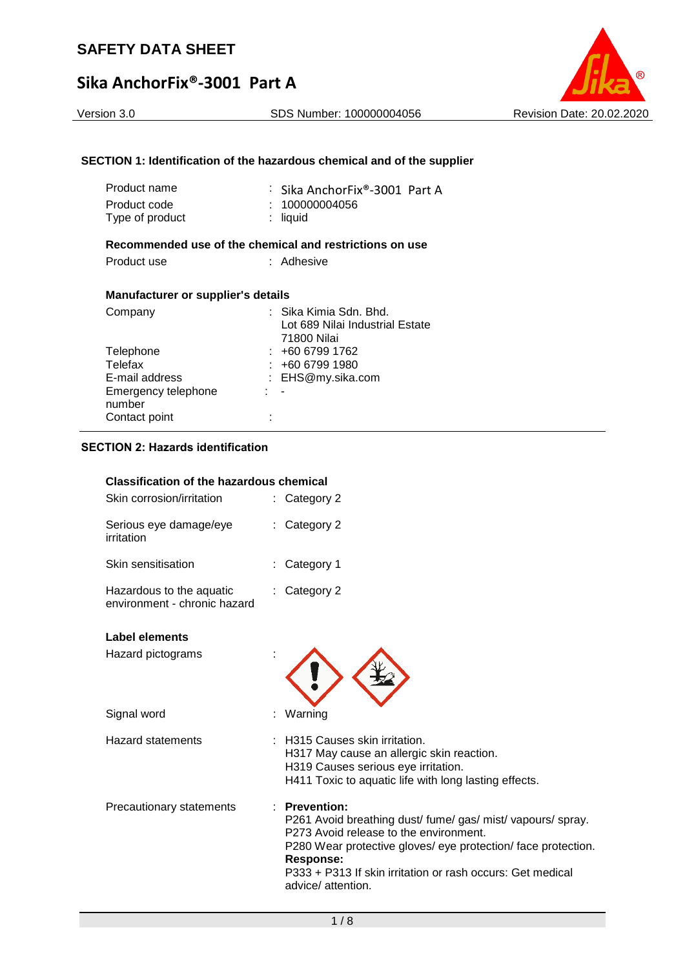## Version 3.0 SDS Number: 100000004056 Revision Date: 20.02.2020

### **SECTION 1: Identification of the hazardous chemical and of the supplier**

| Product name<br>Product code<br>Type of product | : Sika AnchorFix®-3001 Part A<br>: 100000004056<br>liquid |
|-------------------------------------------------|-----------------------------------------------------------|
|                                                 | Recommended use of the chemical and restrictions on use   |
| Product use                                     | : Adhesive                                                |
| <b>Manufacturer or supplier's details</b>       |                                                           |
| Company                                         | ∶ .Sika Kimia Sdn. Bhd.                                   |
|                                                 | Lot 689 Nilai Industrial Estate<br>71800 Nilai            |

: -

: EHS@my.sika.com

Telephone : +60 6799 1762<br>Telefax : +60 6799 1980 Telefax : +60 6799 1980<br>
E-mail address : EHS@my.sika.org

### **SECTION 2: Hazards identification**

Contact point :

Emergency telephone

number

| <b>Classification of the hazardous chemical</b>          |                                                                                                                                                                                                                                                                                          |
|----------------------------------------------------------|------------------------------------------------------------------------------------------------------------------------------------------------------------------------------------------------------------------------------------------------------------------------------------------|
| Skin corrosion/irritation                                | : Category 2                                                                                                                                                                                                                                                                             |
| Serious eye damage/eye<br>irritation                     | : Category 2                                                                                                                                                                                                                                                                             |
| Skin sensitisation                                       | Category 1                                                                                                                                                                                                                                                                               |
| Hazardous to the aquatic<br>environment - chronic hazard | Category 2                                                                                                                                                                                                                                                                               |
| Label elements                                           |                                                                                                                                                                                                                                                                                          |
| Hazard pictograms                                        |                                                                                                                                                                                                                                                                                          |
| Signal word                                              | Warning                                                                                                                                                                                                                                                                                  |
| <b>Hazard statements</b>                                 | H315 Causes skin irritation.<br>H317 May cause an allergic skin reaction.<br>H319 Causes serious eye irritation.<br>H411 Toxic to aquatic life with long lasting effects.                                                                                                                |
| Precautionary statements                                 | <b>Prevention:</b><br>P261 Avoid breathing dust/fume/gas/mist/vapours/spray.<br>P273 Avoid release to the environment.<br>P280 Wear protective gloves/ eye protection/ face protection.<br>Response:<br>P333 + P313 If skin irritation or rash occurs: Get medical<br>advice/ attention. |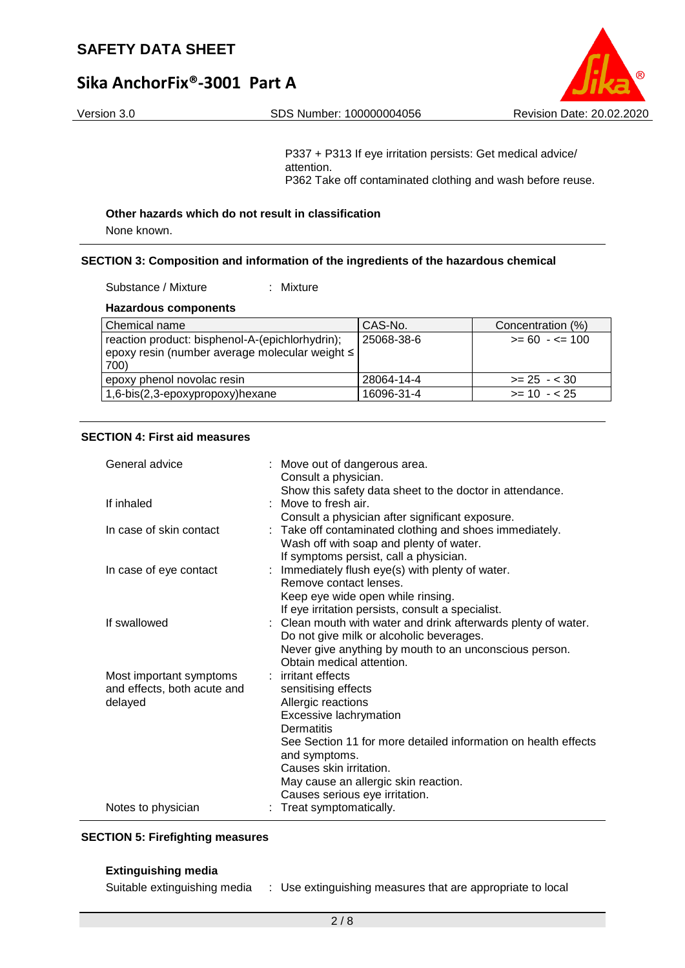# **Sika AnchorFix®-3001 Part A**



P337 + P313 If eye irritation persists: Get medical advice/ attention. P362 Take off contaminated clothing and wash before reuse.

#### **Other hazards which do not result in classification**

None known.

#### **SECTION 3: Composition and information of the ingredients of the hazardous chemical**

Substance / Mixture : Mixture

#### **Hazardous components**

| Chemical name                                                                                               | CAS-No.    | Concentration (%) |
|-------------------------------------------------------------------------------------------------------------|------------|-------------------|
| reaction product: bisphenol-A-(epichlorhydrin);<br>epoxy resin (number average molecular weight ≤  <br>700) | 25068-38-6 | $>= 60 - 5 = 100$ |
| epoxy phenol novolac resin                                                                                  | 28064-14-4 | $>= 25 - 30$      |
| 1,6-bis(2,3-epoxypropoxy)hexane                                                                             | 16096-31-4 | $>= 10 - 25$      |

## **SECTION 4: First aid measures**

| General advice                                                    | : Move out of dangerous area.<br>Consult a physician.                                                                                                                                                                                                       |
|-------------------------------------------------------------------|-------------------------------------------------------------------------------------------------------------------------------------------------------------------------------------------------------------------------------------------------------------|
| If inhaled                                                        | Show this safety data sheet to the doctor in attendance.<br>Move to fresh air.<br>Consult a physician after significant exposure.                                                                                                                           |
| In case of skin contact                                           | Take off contaminated clothing and shoes immediately.<br>Wash off with soap and plenty of water.                                                                                                                                                            |
| In case of eye contact                                            | If symptoms persist, call a physician.<br>: Immediately flush eye(s) with plenty of water.<br>Remove contact lenses.<br>Keep eye wide open while rinsing.<br>If eye irritation persists, consult a specialist.                                              |
| If swallowed                                                      | : Clean mouth with water and drink afterwards plenty of water.<br>Do not give milk or alcoholic beverages.<br>Never give anything by mouth to an unconscious person.<br>Obtain medical attention.                                                           |
| Most important symptoms<br>and effects, both acute and<br>delayed | irritant effects<br>sensitising effects<br>Allergic reactions<br>Excessive lachrymation<br>Dermatitis<br>See Section 11 for more detailed information on health effects<br>and symptoms.<br>Causes skin irritation.<br>May cause an allergic skin reaction. |
| Notes to physician                                                | Causes serious eye irritation.<br>Treat symptomatically.                                                                                                                                                                                                    |

#### **SECTION 5: Firefighting measures**

#### **Extinguishing media**

Suitable extinguishing media : Use extinguishing measures that are appropriate to local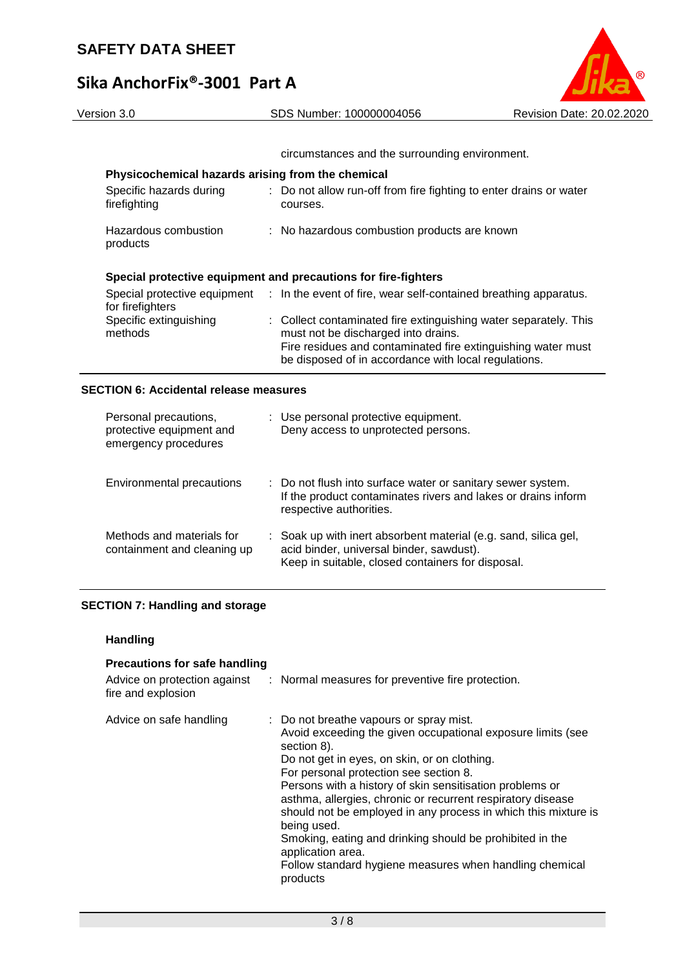

| circumstances and the surrounding environment. |  |
|------------------------------------------------|--|

be disposed of in accordance with local regulations.

## **Physicochemical hazards arising from the chemical**

| Specific hazards during<br>firefighting | : Do not allow run-off from fire fighting to enter drains or water<br>courses.                                                                                          |
|-----------------------------------------|-------------------------------------------------------------------------------------------------------------------------------------------------------------------------|
| Hazardous combustion<br>products        | : No hazardous combustion products are known                                                                                                                            |
|                                         | Special protective equipment and precautions for fire-fighters                                                                                                          |
| for firefighters                        | Special protective equipment : In the event of fire, wear self-contained breathing apparatus.                                                                           |
| Specific extinguishing<br>methods       | : Collect contaminated fire extinguishing water separately. This<br>must not be discharged into drains.<br>Fire residues and contaminated fire extinguishing water must |

### **SECTION 6: Accidental release measures**

| Personal precautions,<br>protective equipment and<br>emergency procedures | : Use personal protective equipment.<br>Deny access to unprotected persons.                                                                                      |
|---------------------------------------------------------------------------|------------------------------------------------------------------------------------------------------------------------------------------------------------------|
| Environmental precautions                                                 | : Do not flush into surface water or sanitary sewer system.<br>If the product contaminates rivers and lakes or drains inform<br>respective authorities.          |
| Methods and materials for<br>containment and cleaning up                  | : Soak up with inert absorbent material (e.g. sand, silica gel,<br>acid binder, universal binder, sawdust).<br>Keep in suitable, closed containers for disposal. |

## **SECTION 7: Handling and storage**

#### **Handling**

| <b>Precautions for safe handling</b>               |                                                                                                                                                                                                                                                                                                                                                                                                                                                                                                                                                                                     |
|----------------------------------------------------|-------------------------------------------------------------------------------------------------------------------------------------------------------------------------------------------------------------------------------------------------------------------------------------------------------------------------------------------------------------------------------------------------------------------------------------------------------------------------------------------------------------------------------------------------------------------------------------|
| Advice on protection against<br>fire and explosion | : Normal measures for preventive fire protection.                                                                                                                                                                                                                                                                                                                                                                                                                                                                                                                                   |
| Advice on safe handling                            | : Do not breathe vapours or spray mist.<br>Avoid exceeding the given occupational exposure limits (see<br>section 8).<br>Do not get in eyes, on skin, or on clothing.<br>For personal protection see section 8.<br>Persons with a history of skin sensitisation problems or<br>asthma, allergies, chronic or recurrent respiratory disease<br>should not be employed in any process in which this mixture is<br>being used.<br>Smoking, eating and drinking should be prohibited in the<br>application area.<br>Follow standard hygiene measures when handling chemical<br>products |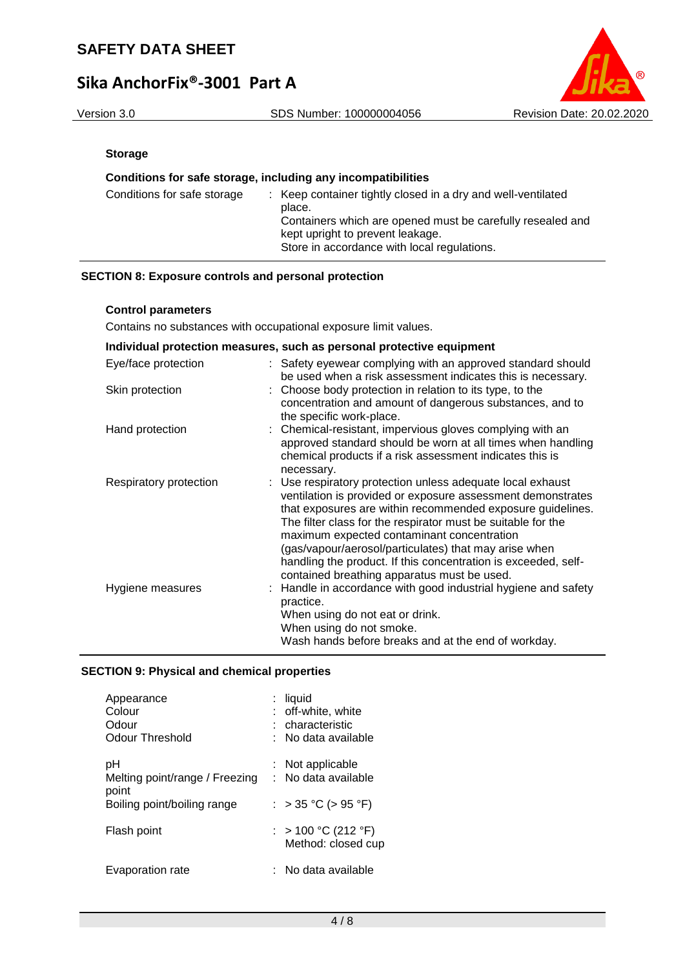# **Sika AnchorFix®-3001 Part A**



### **Storage**

### **Conditions for safe storage, including any incompatibilities**

| Conditions for safe storage | : Keep container tightly closed in a dry and well-ventilated<br>place.<br>Containers which are opened must be carefully resealed and<br>kept upright to prevent leakage.<br>Store in accordance with local regulations. |
|-----------------------------|-------------------------------------------------------------------------------------------------------------------------------------------------------------------------------------------------------------------------|
|-----------------------------|-------------------------------------------------------------------------------------------------------------------------------------------------------------------------------------------------------------------------|

#### **SECTION 8: Exposure controls and personal protection**

#### **Control parameters**

Contains no substances with occupational exposure limit values.

| Individual protection measures, such as personal protective equipment |  |                                                                                                                                                                                                                                                                                                                                                                                                                                                                                 |  |
|-----------------------------------------------------------------------|--|---------------------------------------------------------------------------------------------------------------------------------------------------------------------------------------------------------------------------------------------------------------------------------------------------------------------------------------------------------------------------------------------------------------------------------------------------------------------------------|--|
| Eye/face protection                                                   |  | : Safety eyewear complying with an approved standard should<br>be used when a risk assessment indicates this is necessary.                                                                                                                                                                                                                                                                                                                                                      |  |
| Skin protection                                                       |  | : Choose body protection in relation to its type, to the<br>concentration and amount of dangerous substances, and to<br>the specific work-place.                                                                                                                                                                                                                                                                                                                                |  |
| Hand protection                                                       |  | : Chemical-resistant, impervious gloves complying with an<br>approved standard should be worn at all times when handling<br>chemical products if a risk assessment indicates this is<br>necessary.                                                                                                                                                                                                                                                                              |  |
| Respiratory protection                                                |  | : Use respiratory protection unless adequate local exhaust<br>ventilation is provided or exposure assessment demonstrates<br>that exposures are within recommended exposure guidelines.<br>The filter class for the respirator must be suitable for the<br>maximum expected contaminant concentration<br>(gas/vapour/aerosol/particulates) that may arise when<br>handling the product. If this concentration is exceeded, self-<br>contained breathing apparatus must be used. |  |
| Hygiene measures                                                      |  | : Handle in accordance with good industrial hygiene and safety<br>practice.<br>When using do not eat or drink.<br>When using do not smoke.<br>Wash hands before breaks and at the end of workday.                                                                                                                                                                                                                                                                               |  |

#### **SECTION 9: Physical and chemical properties**

| Appearance<br>Colour<br>Odour<br>Odour Threshold | liquid<br>: off-white, white<br>characteristic<br>:   No data available |
|--------------------------------------------------|-------------------------------------------------------------------------|
| рH<br>Melting point/range / Freezing<br>point    | : Not applicable<br>: No data available                                 |
| Boiling point/boiling range                      | : > 35 °C (> 95 °F)                                                     |
| Flash point                                      | : > 100 °C (212 °F)<br>Method: closed cup                               |
| Evaporation rate                                 | No data available                                                       |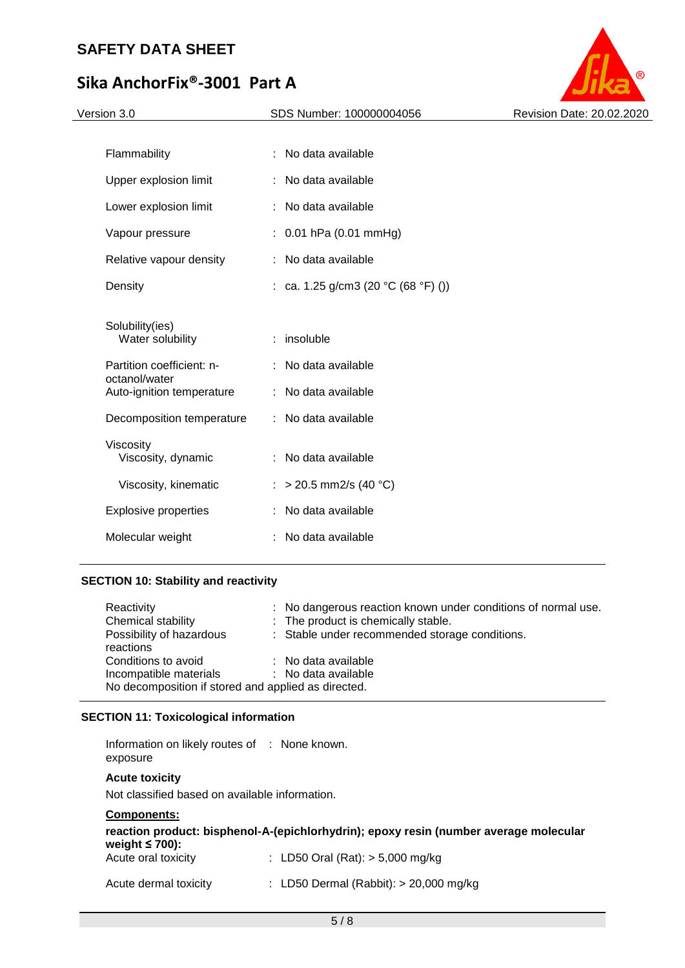# **Sika AnchorFix®-3001 Part A**

| Version 3.0                                | SDS Number: 100000004056            | Revision Date: 20.02.2020 |
|--------------------------------------------|-------------------------------------|---------------------------|
|                                            | : No data available                 |                           |
| Flammability                               |                                     |                           |
| Upper explosion limit                      | No data available<br>÷.             |                           |
| Lower explosion limit                      | No data available                   |                           |
| Vapour pressure                            | : $0.01$ hPa (0.01 mmHg)            |                           |
| Relative vapour density                    | : No data available                 |                           |
| Density                                    | : ca. 1.25 g/cm3 (20 °C (68 °F) ()) |                           |
| Solubility(ies)<br>Water solubility        | insoluble                           |                           |
| Partition coefficient: n-<br>octanol/water | : No data available                 |                           |
| Auto-ignition temperature                  | : No data available                 |                           |
| Decomposition temperature                  | : No data available                 |                           |
| Viscosity                                  |                                     |                           |
| Viscosity, dynamic                         | : No data available                 |                           |
| Viscosity, kinematic                       | : > 20.5 mm2/s (40 °C)              |                           |
| <b>Explosive properties</b>                | No data available<br>÷.             |                           |
| Molecular weight                           | No data available                   |                           |
|                                            |                                     |                           |

## **SECTION 10: Stability and reactivity**

| Reactivity                                          |  | : No dangerous reaction known under conditions of normal use. |  |  |
|-----------------------------------------------------|--|---------------------------------------------------------------|--|--|
| Chemical stability                                  |  | : The product is chemically stable.                           |  |  |
| Possibility of hazardous                            |  | : Stable under recommended storage conditions.                |  |  |
| reactions                                           |  |                                                               |  |  |
| Conditions to avoid                                 |  | : No data available                                           |  |  |
| Incompatible materials                              |  | : No data available                                           |  |  |
| No decomposition if stored and applied as directed. |  |                                                               |  |  |

## **SECTION 11: Toxicological information**

Information on likely routes of : None known. exposure

#### **Acute toxicity**

Not classified based on available information.

## **Components:**

| reaction product: bisphenol-A-(epichlorhydrin); epoxy resin (number average molecular<br>weight $\leq 700$ ): |                                          |  |  |  |
|---------------------------------------------------------------------------------------------------------------|------------------------------------------|--|--|--|
| Acute oral toxicity                                                                                           | : LD50 Oral (Rat): $> 5,000$ mg/kg       |  |  |  |
| Acute dermal toxicity                                                                                         | : LD50 Dermal (Rabbit): $> 20,000$ mg/kg |  |  |  |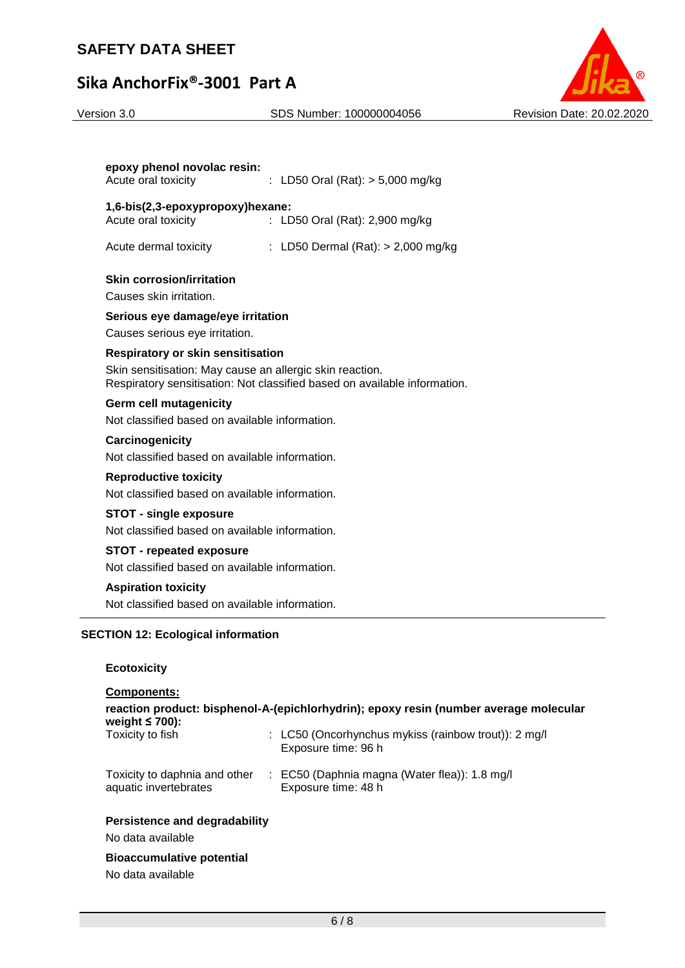# **Sika AnchorFix®-3001 Part A**

#### Version 3.0 SDS Number: 100000004056 Revision Date: 20.02.2020



| epoxy phenol novolac resin:<br>Acute oral toxicity       | : LD50 Oral (Rat): $>$ 5,000 mg/kg                                        |
|----------------------------------------------------------|---------------------------------------------------------------------------|
| 1,6-bis(2,3-epoxypropoxy)hexane:                         |                                                                           |
| Acute oral toxicity                                      | : LD50 Oral (Rat): 2,900 mg/kg                                            |
| Acute dermal toxicity                                    | : LD50 Dermal (Rat): > 2,000 mg/kg                                        |
| <b>Skin corrosion/irritation</b>                         |                                                                           |
| Causes skin irritation.                                  |                                                                           |
| Serious eye damage/eye irritation                        |                                                                           |
| Causes serious eye irritation.                           |                                                                           |
| <b>Respiratory or skin sensitisation</b>                 |                                                                           |
| Skin sensitisation: May cause an allergic skin reaction. | Respiratory sensitisation: Not classified based on available information. |
| <b>Germ cell mutagenicity</b>                            |                                                                           |
| Not classified based on available information.           |                                                                           |
| Carcinogenicity                                          |                                                                           |
| Not classified based on available information.           |                                                                           |
| <b>Reproductive toxicity</b>                             |                                                                           |
| Not classified based on available information.           |                                                                           |
| <b>STOT - single exposure</b>                            |                                                                           |
| Not classified based on available information.           |                                                                           |
| <b>STOT - repeated exposure</b>                          |                                                                           |
| Not classified based on available information.           |                                                                           |
| <b>Aspiration toxicity</b>                               |                                                                           |
| Not classified based on available information.           |                                                                           |
| <b>SECTION 12: Ecological information</b>                |                                                                           |
| <b>Ecotoxicity</b>                                       |                                                                           |
| Components:                                              |                                                                           |
| woight < 700\.                                           | reaction product: bisphenol-A-(epichlorhydrin); epoxy resin (number       |

average molecular **weight ≤ 700):** : LC50 (Oncorhynchus mykiss (rainbow trout)): 2 mg/l Exposure time: 96 h Toxicity to daphnia and other aquatic invertebrates : EC50 (Daphnia magna (Water flea)): 1.8 mg/l Exposure time: 48 h **Persistence and degradability**

No data available

**Bioaccumulative potential**

No data available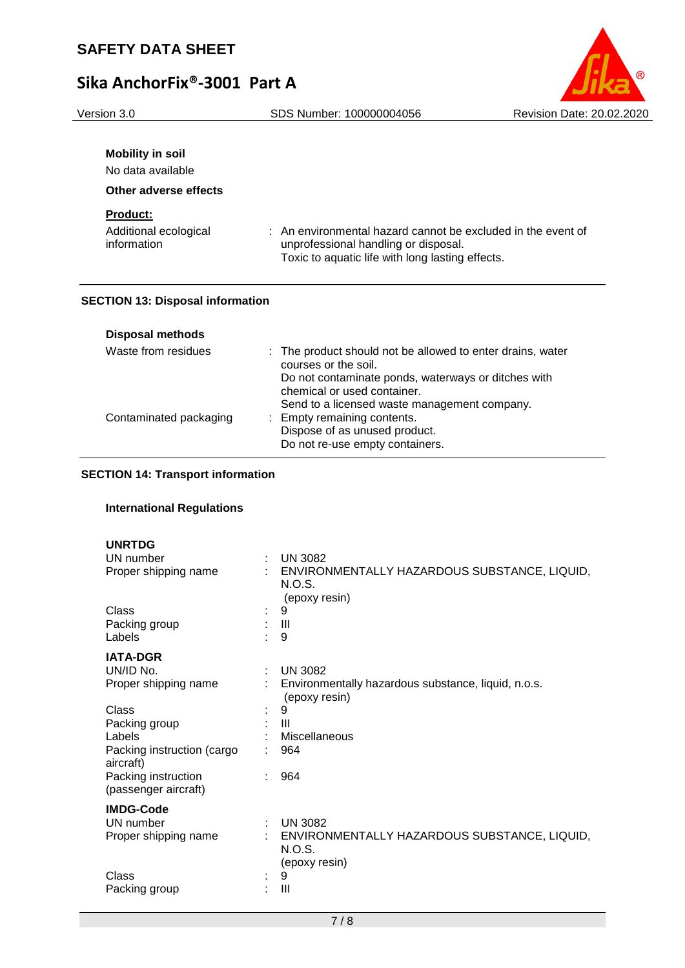

| <b>Mobility in soil</b><br>No data available<br>Other adverse effects |                                                              |
|-----------------------------------------------------------------------|--------------------------------------------------------------|
| <b>Product:</b>                                                       | : An environmental hazard cannot be excluded in the event of |
| Additional ecological                                                 | unprofessional handling or disposal.                         |
| information                                                           | Toxic to aquatic life with long lasting effects.             |

### **SECTION 13: Disposal information**

| <b>Disposal methods</b> |                                                                                    |
|-------------------------|------------------------------------------------------------------------------------|
| Waste from residues     | : The product should not be allowed to enter drains, water<br>courses or the soil. |
|                         | Do not contaminate ponds, waterways or ditches with<br>chemical or used container. |
|                         | Send to a licensed waste management company.                                       |
| Contaminated packaging  | : Empty remaining contents.                                                        |
|                         | Dispose of as unused product.                                                      |
|                         | Do not re-use empty containers.                                                    |

## **SECTION 14: Transport information**

## **International Regulations**

| <b>UNRTDG</b><br>UN number<br>Proper shipping name |   | <b>UN 3082</b><br>ENVIRONMENTALLY HAZARDOUS SUBSTANCE, LIQUID,<br>N.O.S.<br>(epoxy resin) |
|----------------------------------------------------|---|-------------------------------------------------------------------------------------------|
| Class<br>Packing group<br>Labels                   |   | 9<br>Ш<br>9                                                                               |
| <b>IATA-DGR</b>                                    |   |                                                                                           |
| UN/ID No.                                          | t | <b>UN 3082</b>                                                                            |
| Proper shipping name                               |   | Environmentally hazardous substance, liquid, n.o.s.<br>(epoxy resin)                      |
| Class                                              |   | 9                                                                                         |
| Packing group                                      |   | Ш                                                                                         |
| Labels                                             |   | Miscellaneous                                                                             |
| Packing instruction (cargo<br>aircraft)            |   | 964                                                                                       |
| Packing instruction<br>(passenger aircraft)        |   | 964                                                                                       |
| <b>IMDG-Code</b>                                   |   |                                                                                           |
| UN number                                          |   | <b>UN 3082</b>                                                                            |
| Proper shipping name                               |   | ENVIRONMENTALLY HAZARDOUS SUBSTANCE, LIQUID,<br><b>N.O.S.</b><br>(epoxy resin)            |
| Class                                              |   | 9                                                                                         |
| Packing group                                      |   | Ш                                                                                         |
|                                                    |   |                                                                                           |